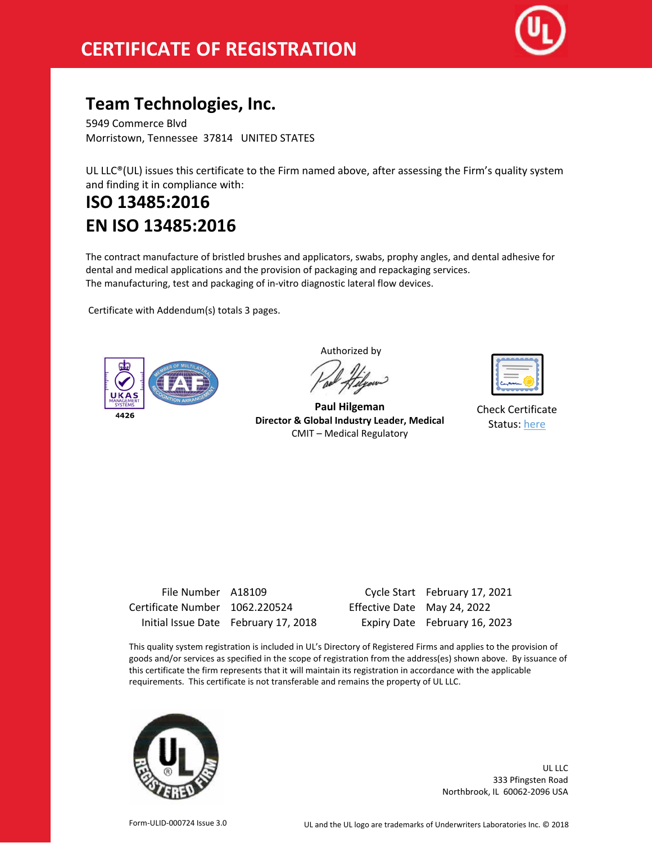

## **Team Technologies, Inc.**

5949 Commerce Blvd Morristown, Tennessee 37814 UNITED STATES

UL LLC®(UL) issues this certificate to the Firm named above, after assessing the Firm's quality system and finding it in compliance with:

## **ISO 13485:2016 EN ISO 13485:2016**

The contract manufacture of bristled brushes and applicators, swabs, prophy angles, and dental adhesive for dental and medical applications and the provision of packaging and repackaging services. The manufacturing, test and packaging of in-vitro diagnostic lateral flow devices.

Certificate with Addendum(s) totals 3 pages.



Authorized by

**Paul Hilgeman Director & Global Industry Leader, Medical** CMIT – Medical Regulatory

| ست<br>m<br>27 W |
|-----------------|
|                 |

Check Certificate Status: [here](https://database.ul.com/certs/PDWS.A18109.1.pdf)

| File Number A18109             |                                      |                             | Cycle Start February 17, 2 |
|--------------------------------|--------------------------------------|-----------------------------|----------------------------|
| Certificate Number 1062.220524 |                                      | Effective Date May 24, 2022 |                            |
|                                | Initial Issue Date February 17, 2018 |                             | Expiry Date February 16, 2 |

File Number A18109 Cycle Start February 17, 2021 8 Expiry Date February 16, 2023

This quality system registration is included in UL's Directory of Registered Firms and applies to the provision of goods and/or services as specified in the scope of registration from the address(es) shown above. By issuance of this certificate the firm represents that it will maintain its registration in accordance with the applicable requirements. This certificate is not transferable and remains the property of UL LLC.



UL LLC 333 Pfingsten Road Northbrook, IL 60062-2096 USA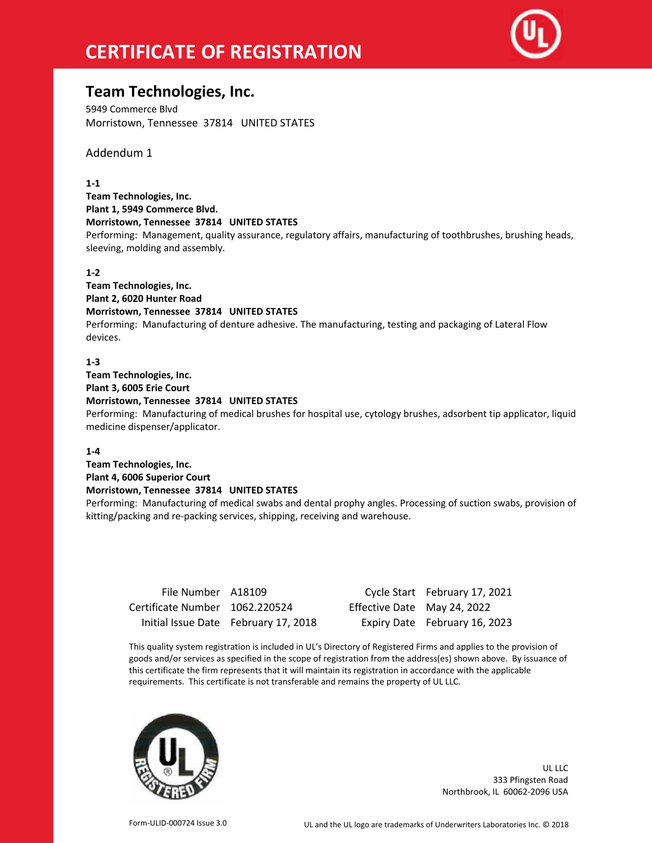# **CERTIFICATE OF REGISTRATION**



### **Team Technologies, Inc.**

5949 Commerce Blvd Morristown, Tennessee 37814 UNITED STATES

Addendum 1

#### **1-1**

**Team Technologies, Inc. Plant 1, 5949 Commerce Blvd. Morristown, Tennessee 37814 UNITED STATES** Performing: Management, quality assurance, regulatory affairs, manufacturing of toothbrushes, brushing heads, sleeving, molding and assembly.

#### **1-2**

**Team Technologies, Inc. Plant 2, 6020 Hunter Road Morristown, Tennessee 37814 UNITED STATES** Performing: Manufacturing of denture adhesive. The manufacturing, testing and packaging of Lateral Flow devices.

#### **1-3**

**Team Technologies, Inc. Plant 3, 6005 Erie Court**

**Morristown, Tennessee 37814 UNITED STATES**

Performing: Manufacturing of medical brushes for hospital use, cytology brushes, adsorbent tip applicator, liquid medicine dispenser/applicator.

#### **1-4**

**Team Technologies, Inc. Plant 4, 6006 Superior Court Morristown, Tennessee 37814 UNITED STATES**

Performing: Manufacturing of medical swabs and dental prophy angles. Processing of suction swabs, provision of kitting/packing and re-packing services, shipping, receiving and warehouse.

| File Number A18109             |                                      |                             | Cycle Start February 17, 2021 |
|--------------------------------|--------------------------------------|-----------------------------|-------------------------------|
| Certificate Number 1062.220524 |                                      | Effective Date May 24, 2022 |                               |
|                                | Initial Issue Date February 17, 2018 |                             | Expiry Date February 16, 2023 |

This quality system registration is included in UL's Directory of Registered Firms and applies to the provision of goods and/or services as specified in the scope of registration from the address(es) shown above. By issuance of this certificate the firm represents that it will maintain its registration in accordance with the applicable requirements. This certificate is not transferable and remains the property of UL LLC.



UL LLC 333 Pfingsten Road Northbrook, IL 60062-2096 USA